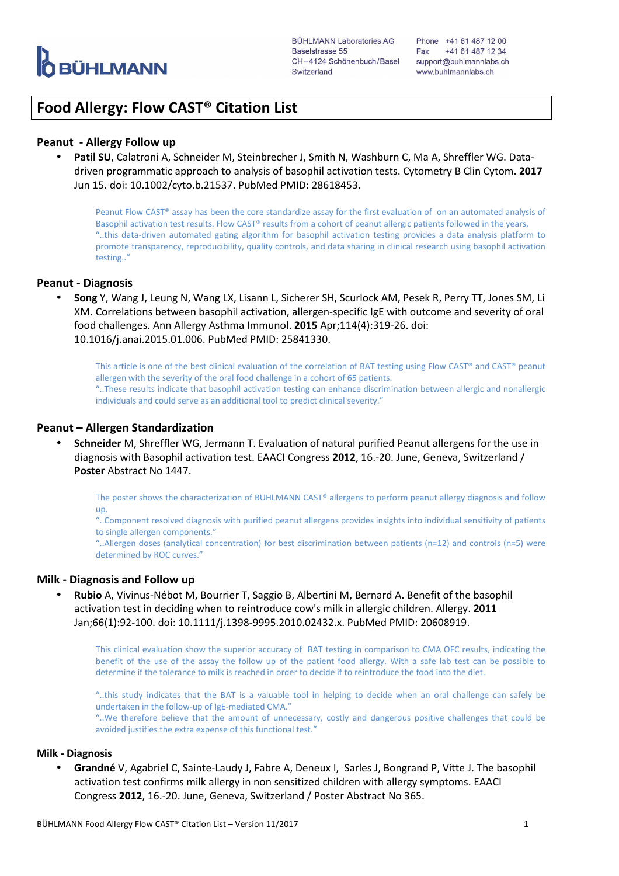

# **Food Allergy: Flow CAST® Citation List**

# **Peanut - Allergy Follow up**

• **Patil SU**, Calatroni A, Schneider M, Steinbrecher J, Smith N, Washburn C, Ma A, Shreffler WG. Datadriven programmatic approach to analysis of basophil activation tests. Cytometry B Clin Cytom. **2017** Jun 15. doi: 10.1002/cyto.b.21537. PubMed PMID: 28618453.

Peanut Flow CAST® assay has been the core standardize assay for the first evaluation of on an automated analysis of Basophil activation test results. Flow CAST® results from a cohort of peanut allergic patients followed in the years. "..this data-driven automated gating algorithm for basophil activation testing provides a data analysis platform to promote transparency, reproducibility, quality controls, and data sharing in clinical research using basophil activation testing.."

# **Peanut - Diagnosis**

• **Song** Y, Wang J, Leung N, Wang LX, Lisann L, Sicherer SH, Scurlock AM, Pesek R, Perry TT, Jones SM, Li XM. Correlations between basophil activation, allergen-specific IgE with outcome and severity of oral food challenges. Ann Allergy Asthma Immunol. **2015** Apr;114(4):319-26. doi: 10.1016/j.anai.2015.01.006. PubMed PMID: 25841330.

This article is one of the best clinical evaluation of the correlation of BAT testing using Flow CAST® and CAST® peanut allergen with the severity of the oral food challenge in a cohort of 65 patients. "..These results indicate that basophil activation testing can enhance discrimination between allergic and nonallergic individuals and could serve as an additional tool to predict clinical severity."

# **Peanut – Allergen Standardization**

• **Schneider** M, Shreffler WG, Jermann T. Evaluation of natural purified Peanut allergens for the use in diagnosis with Basophil activation test. EAACI Congress **2012**, 16.-20. June, Geneva, Switzerland / **Poster** Abstract No 1447.

The poster shows the characterization of BUHLMANN CAST® allergens to perform peanut allergy diagnosis and follow up.

"..Component resolved diagnosis with purified peanut allergens provides insights into individual sensitivity of patients to single allergen components."

"..Allergen doses (analytical concentration) for best discrimination between patients (n=12) and controls (n=5) were determined by ROC curves."

# **Milk - Diagnosis and Follow up**

• **Rubio** A, Vivinus-Nébot M, Bourrier T, Saggio B, Albertini M, Bernard A. Benefit of the basophil activation test in deciding when to reintroduce cow's milk in allergic children. Allergy. **2011** Jan;66(1):92-100. doi: 10.1111/j.1398-9995.2010.02432.x. PubMed PMID: 20608919.

This clinical evaluation show the superior accuracy of BAT testing in comparison to CMA OFC results, indicating the benefit of the use of the assay the follow up of the patient food allergy. With a safe lab test can be possible to determine if the tolerance to milk is reached in order to decide if to reintroduce the food into the diet.

"..this study indicates that the BAT is a valuable tool in helping to decide when an oral challenge can safely be undertaken in the follow-up of IgE-mediated CMA."

"..We therefore believe that the amount of unnecessary, costly and dangerous positive challenges that could be avoided justifies the extra expense of this functional test."

#### **Milk - Diagnosis**

• **Grandné** V, Agabriel C, Sainte-Laudy J, Fabre A, Deneux I, Sarles J, Bongrand P, Vitte J. The basophil activation test confirms milk allergy in non sensitized children with allergy symptoms. EAACI Congress **2012**, 16.-20. June, Geneva, Switzerland / Poster Abstract No 365.